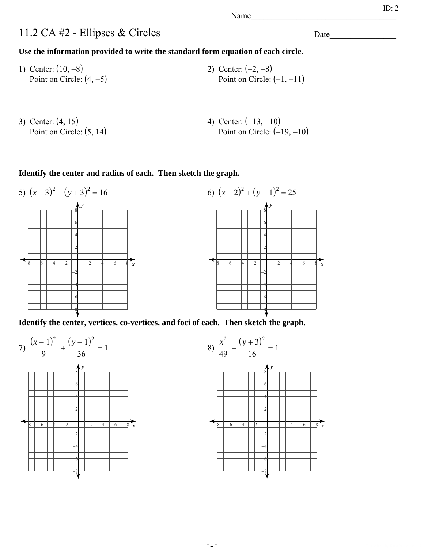Name\_\_\_\_\_\_\_\_\_\_\_\_\_\_\_\_\_\_\_\_\_\_\_\_\_\_\_\_\_\_\_\_\_\_\_

## 11.2 CA #2 - Ellipses & Circles

**Use the information provided to write the standard form equation of each circle.**

- 1) Center:  $(10, -8)$ Point on Circle:  $(4, -5)$ 2) Center:  $(-2, -8)$ Point on Circle:  $(-1, -11)$
- 3) Center:  $(4, 15)$ Point on Circle:  $(5, 14)$ 4) Center:  $(-13, -10)$ Point on Circle:  $(-19, -10)$

**Identify the center and radius of each. Then sketch the graph.**





**Identify the center, vertices, co-vertices, and foci of each. Then sketch the graph.**





Date  $\qquad \qquad \qquad$